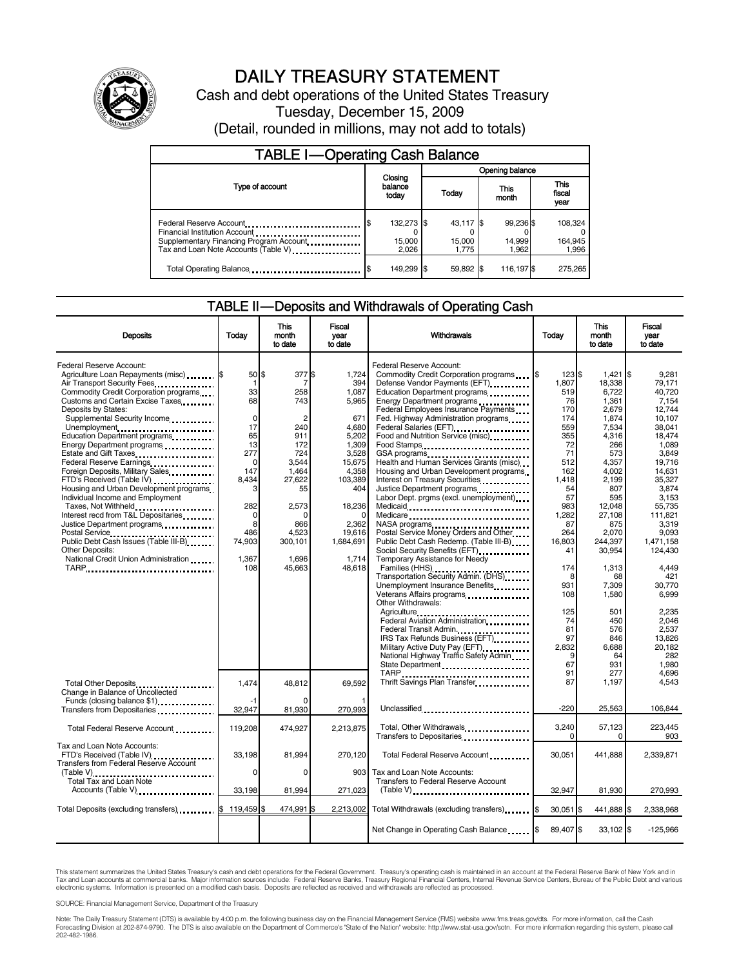

# DAILY TREASURY STATEMENT

Cash and debt operations of the United States Treasury Tuesday, December 15, 2009 (Detail, rounded in millions, may not add to totals)

| <b>TABLE I-Operating Cash Balance</b>                                                                                                        |                                      |                              |                              |                               |  |  |  |
|----------------------------------------------------------------------------------------------------------------------------------------------|--------------------------------------|------------------------------|------------------------------|-------------------------------|--|--|--|
|                                                                                                                                              |                                      | Opening balance              |                              |                               |  |  |  |
| Type of account                                                                                                                              | Closing<br>balance<br>Today<br>today |                              | This<br>month                | <b>This</b><br>fiscal<br>year |  |  |  |
| Federal Reserve Account<br>Financial Institution Account<br>Supplementary Financing Program Account.<br>Tax and Loan Note Accounts (Table V) | 132,273 \$<br>\$<br>15,000<br>2,026  | 43,117 \$<br>15,000<br>1.775 | 99,236 \$<br>14,999<br>1.962 | 108,324<br>164,945<br>1,996   |  |  |  |
| Total Operating Balance                                                                                                                      | 149,299 \$<br>S                      | 59.892 \$                    | 116,197                      | 275.265                       |  |  |  |

### TABLE II — Deposits and Withdrawals of Operating Cash

| <b>Deposits</b>                                                           | Todav       | <b>This</b><br>month<br>to date | <b>Fiscal</b><br>vear<br>to date | Withdrawals                                                                                                                                                                                                                     | Todav     | <b>This</b><br>month<br>to date | <b>Fiscal</b><br>vear<br>to date |
|---------------------------------------------------------------------------|-------------|---------------------------------|----------------------------------|---------------------------------------------------------------------------------------------------------------------------------------------------------------------------------------------------------------------------------|-----------|---------------------------------|----------------------------------|
| Federal Reserve Account:<br>Agriculture Loan Repayments (misc) [\$        | 50 \$       | 377 \$                          | 1,724                            | Federal Reserve Account:<br>Commodity Credit Corporation programs \,\                                                                                                                                                           | 123S      | $1,421$ \$                      | 9.281                            |
| Air Transport Security Fees                                               | 1           | 7                               | 394                              | Defense Vendor Payments (EFT)                                                                                                                                                                                                   | 1.807     | 18.338                          | 79.171                           |
| Commodity Credit Corporation programs                                     | 33          | 258                             | 1,087                            | Education Department programs                                                                                                                                                                                                   | 519       | 6,722                           | 40,720                           |
| Customs and Certain Excise Taxes                                          | 68          | 743                             | 5,965                            | Energy Department programs                                                                                                                                                                                                      | 76        | 1.361                           | 7,154                            |
| Deposits by States:                                                       |             |                                 |                                  | Federal Employees Insurance Payments                                                                                                                                                                                            | 170       | 2,679                           | 12.744                           |
| Supplemental Security Income                                              | $\mathbf 0$ | 2                               | 671                              | Fed. Highway Administration programs                                                                                                                                                                                            | 174       | 1,874                           | 10,107                           |
| Unemployment                                                              | 17          | 240                             | 4,680                            | Federal Salaries (EFT)<br>1991 - Production Contract Contract Contract Contract Contract Contract Contract Contract Contract Contract Contract Contract Contract Contract Contract Contract Contract Contract Contract Contract | 559       | 7,534                           | 38.041                           |
| Education Department programs                                             | 65          | 911                             | 5,202                            | Food and Nutrition Service (misc)                                                                                                                                                                                               | 355       | 4.316                           | 18.474                           |
| Energy Department programs                                                | 13          | 172                             | 1,309                            | Food Stamps                                                                                                                                                                                                                     | 72        | 266                             | 1.089                            |
| Estate and Gift Taxes                                                     | 277         | 724                             | 3,528                            | GSA programs<br>Health and Human Services Grants (misc)                                                                                                                                                                         | 71        | 573                             | 3.849                            |
| Federal Reserve Earnings                                                  | $\mathbf 0$ | 3.544                           | 15,675                           |                                                                                                                                                                                                                                 | 512       | 4.357                           | 19.716                           |
| Foreign Deposits, Military Sales                                          | 147         | 1.464                           | 4.358                            | Housing and Urban Development programs                                                                                                                                                                                          | 162       | 4.002                           | 14.631                           |
| FTD's Received (Table IV)                                                 | 8,434       | 27,622                          | 103,389                          | Interest on Treasury Securities                                                                                                                                                                                                 | 1,418     | 2,199                           | 35,327                           |
| Housing and Urban Development programs                                    | 3           | 55                              | 404                              | Justice Department programs                                                                                                                                                                                                     | 54        | 807                             | 3.874                            |
| Individual Income and Employment                                          |             |                                 |                                  | Labor Dept. prgms (excl. unemployment)                                                                                                                                                                                          | 57        | 595                             | 3.153                            |
| Taxes, Not Withheld                                                       | 282         | 2.573                           | 18,236                           |                                                                                                                                                                                                                                 | 983       | 12.048                          | 55.735                           |
| Interest recd from T&L Depositaries                                       | $\mathbf 0$ |                                 | $\mathbf 0$                      | Medicare                                                                                                                                                                                                                        | 1,282     | 27,108                          | 111,821                          |
|                                                                           | 8           | 866                             | 2,362                            | NASA programs                                                                                                                                                                                                                   | 87        | 875                             | 3.319                            |
|                                                                           | 486         | 4.523                           | 19.616                           | Postal Service Money Orders and Other                                                                                                                                                                                           | 264       | 2.070                           | 9.093                            |
| Public Debt Cash Issues (Table III-B)                                     | 74,903      | 300,101                         | 1,684,691                        | Public Debt Cash Redemp. (Table III-B)                                                                                                                                                                                          | 16,803    | 244,397                         | 1,471,158                        |
| Other Deposits:                                                           |             |                                 |                                  | Social Security Benefits (EFT)                                                                                                                                                                                                  | 41        | 30,954                          | 124,430                          |
| National Credit Union Administration                                      | 1.367       | 1,696                           | 1,714                            | Temporary Assistance for Needy                                                                                                                                                                                                  |           |                                 |                                  |
| TARP                                                                      | 108         | 45,663                          | 48,618                           |                                                                                                                                                                                                                                 | 174       | 1,313                           | 4.449                            |
|                                                                           |             |                                 |                                  | Transportation Security Admin. (DHS)                                                                                                                                                                                            | 8         | 68                              | 421                              |
|                                                                           |             |                                 |                                  | Unemployment Insurance Benefits                                                                                                                                                                                                 | 931       | 7,309                           | 30,770                           |
|                                                                           |             |                                 |                                  | Veterans Affairs programs                                                                                                                                                                                                       | 108       | 1,580                           | 6.999                            |
|                                                                           |             |                                 |                                  | Other Withdrawals:                                                                                                                                                                                                              |           |                                 |                                  |
|                                                                           |             |                                 |                                  | Agriculture                                                                                                                                                                                                                     | 125       | 501                             | 2,235                            |
|                                                                           |             |                                 |                                  | Federal Aviation Administration                                                                                                                                                                                                 | 74        | 450                             | 2.046                            |
|                                                                           |             |                                 |                                  | Federal Transit Admin                                                                                                                                                                                                           | 81        | 576                             | 2,537                            |
|                                                                           |             |                                 |                                  | IRS Tax Refunds Business (EFT)                                                                                                                                                                                                  | 97        | 846                             | 13,826                           |
|                                                                           |             |                                 |                                  | Military Active Duty Pay (EFT)                                                                                                                                                                                                  | 2,832     | 6,688                           | 20,182                           |
|                                                                           |             |                                 |                                  | National Highway Traffic Safety Admin                                                                                                                                                                                           | 9         | 64                              | 282                              |
|                                                                           |             |                                 |                                  |                                                                                                                                                                                                                                 | 67        | 931                             | 1,980                            |
|                                                                           |             |                                 |                                  |                                                                                                                                                                                                                                 | 91        | 277                             | 4,696                            |
| Total Other Deposits                                                      | 1,474       | 48.812                          | 69.592                           | Thrift Savings Plan Transfer                                                                                                                                                                                                    | 87        | 1,197                           | 4,543                            |
| Change in Balance of Uncollected                                          |             |                                 |                                  |                                                                                                                                                                                                                                 |           |                                 |                                  |
| Funds (closing balance \$1)                                               | -1          |                                 |                                  |                                                                                                                                                                                                                                 |           |                                 |                                  |
| Transfers from Depositaries <b>constructs</b>                             | 32,947      | 81,930                          | 270,993                          | Unclassified                                                                                                                                                                                                                    | $-220$    | 25,563                          | 106,844                          |
|                                                                           |             |                                 |                                  |                                                                                                                                                                                                                                 |           |                                 |                                  |
| Total Federal Reserve Account                                             | 119,208     | 474,927                         | 2,213,875                        | Total, Other Withdrawals                                                                                                                                                                                                        | 3,240     | 57.123                          | 223,445                          |
|                                                                           |             |                                 |                                  | Transfers to Depositaries                                                                                                                                                                                                       | $\Omega$  | 0                               | 903                              |
| Tax and Loan Note Accounts:                                               |             |                                 |                                  |                                                                                                                                                                                                                                 |           |                                 |                                  |
| FTD's Received (Table IV)                                                 | 33,198      | 81,994                          | 270,120                          | Total Federal Reserve Account                                                                                                                                                                                                   | 30,051    | 441,888                         | 2,339,871                        |
| <b>Transfers from Federal Reserve Account</b>                             |             |                                 |                                  |                                                                                                                                                                                                                                 |           |                                 |                                  |
| (Table V)                                                                 | $\Omega$    | $\Omega$                        | 903                              | Tax and Loan Note Accounts:                                                                                                                                                                                                     |           |                                 |                                  |
| Total Tax and Loan Note                                                   |             |                                 |                                  | Transfers to Federal Reserve Account                                                                                                                                                                                            |           |                                 |                                  |
| Accounts (Table V)                                                        | 33,198      | 81,994                          | 271,023                          |                                                                                                                                                                                                                                 | 32,947    | 81,930                          | 270,993                          |
|                                                                           |             |                                 |                                  |                                                                                                                                                                                                                                 |           |                                 |                                  |
| Total Deposits (excluding transfers) Total Deposits (excluding transfers) | 119,459 \$  | 474,991 \$                      | 2,213,002                        | Total Withdrawals (excluding transfers) [\$                                                                                                                                                                                     | 30,051 \$ | 441,888 \$                      | 2,338,968                        |
|                                                                           |             |                                 |                                  |                                                                                                                                                                                                                                 |           |                                 |                                  |
|                                                                           |             |                                 |                                  | Net Change in Operating Cash Balance                                                                                                                                                                                            | 89.407 \$ | 33.102 \$                       | $-125,966$                       |
|                                                                           |             |                                 |                                  |                                                                                                                                                                                                                                 |           |                                 |                                  |

This statement summarizes the United States Treasury's cash and debt operations for the Federal Government. Treasury's operating cash is maintained in an account at the Federal Reserve Bank of New York and in<br>Tax and Loan

SOURCE: Financial Management Service, Department of the Treasury

Note: The Daily Treasury Statement (DTS) is available by 4:00 p.m. the following business day on the Financial Management Service (FMS) website www.fms.treas.gov/dts. For more information, call the Cash<br>Forecasting Divisio